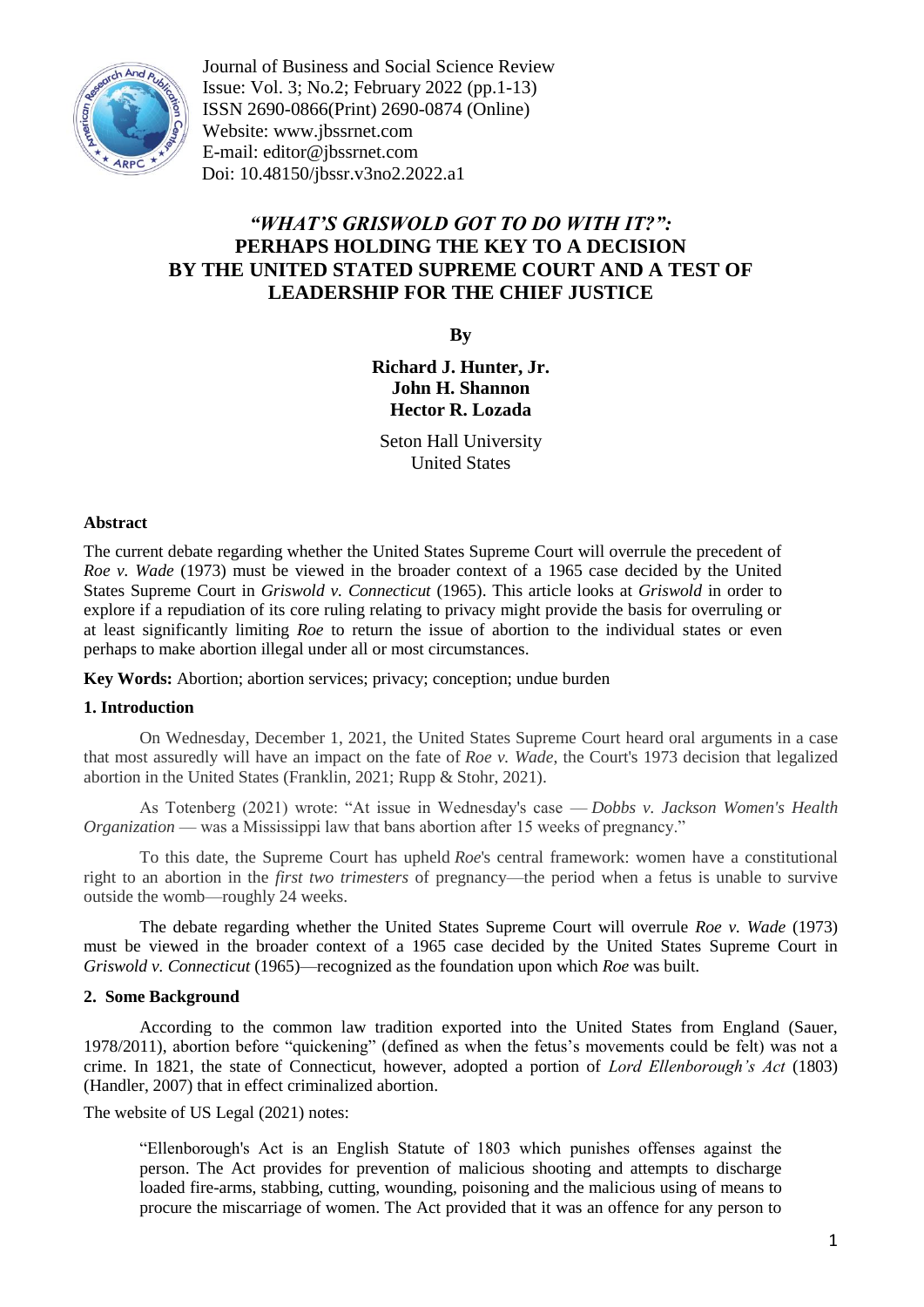

Journal of Business and Social Science Review Issue: Vol. 3; No.2; February 2022 (pp.1-13) ISSN 2690-0866(Print) 2690-0874 (Online) Website: www.jbssrnet.com E-mail: editor@jbssrnet.com Doi: 10.48150/jbssr.v3no2.2022.a1

# *"WHAT'S GRISWOLD GOT TO DO WITH IT?":* **PERHAPS HOLDING THE KEY TO A DECISION BY THE UNITED STATED SUPREME COURT AND A TEST OF LEADERSHIP FOR THE CHIEF JUSTICE**

**By**

**Richard J. Hunter, Jr. John H. Shannon Hector R. Lozada**

Seton Hall University United States

#### **Abstract**

The current debate regarding whether the United States Supreme Court will overrule the precedent of *Roe v. Wade* (1973) must be viewed in the broader context of a 1965 case decided by the United States Supreme Court in *Griswold v. Connecticut* (1965). This article looks at *Griswold* in order to explore if a repudiation of its core ruling relating to privacy might provide the basis for overruling or at least significantly limiting *Roe* to return the issue of abortion to the individual states or even perhaps to make abortion illegal under all or most circumstances.

**Key Words:** Abortion; abortion services; privacy; conception; undue burden

## **1. Introduction**

On Wednesday, December 1, 2021, the United States Supreme Court heard oral arguments in a case that most assuredly will have an impact on the fate of *Roe v. Wade*, the Court's 1973 decision that legalized abortion in the United States (Franklin, 2021; Rupp & Stohr, 2021).

As Totenberg (2021) wrote: "At issue in Wednesday's case — *Dobbs v. Jackson Women's Health Organization* — was a Mississippi law that bans abortion after 15 weeks of pregnancy."

To this date, the Supreme Court has upheld *Roe*'s central framework: women have a constitutional right to an abortion in the *first two trimesters* of pregnancy—the period when a fetus is unable to survive outside the womb—roughly 24 weeks.

The debate regarding whether the United States Supreme Court will overrule *Roe v. Wade* (1973) must be viewed in the broader context of a 1965 case decided by the United States Supreme Court in *Griswold v. Connecticut* (1965)—recognized as the foundation upon which *Roe* was built.

#### **2. Some Background**

According to the common law tradition exported into the United States from England (Sauer, 1978/2011), abortion before "quickening" (defined as when the fetus's movements could be felt) was not a crime. In 1821, the state of Connecticut, however, adopted a portion of *Lord Ellenborough's Act* (1803) (Handler, 2007) that in effect criminalized abortion.

The website of US Legal (2021) notes:

"Ellenborough's Act is an English Statute of 1803 which punishes offenses against the person. The Act provides for prevention of malicious shooting and attempts to discharge loaded fire-arms, stabbing, cutting, wounding, poisoning and the malicious using of means to procure the miscarriage of women. The Act provided that it was an offence for any person to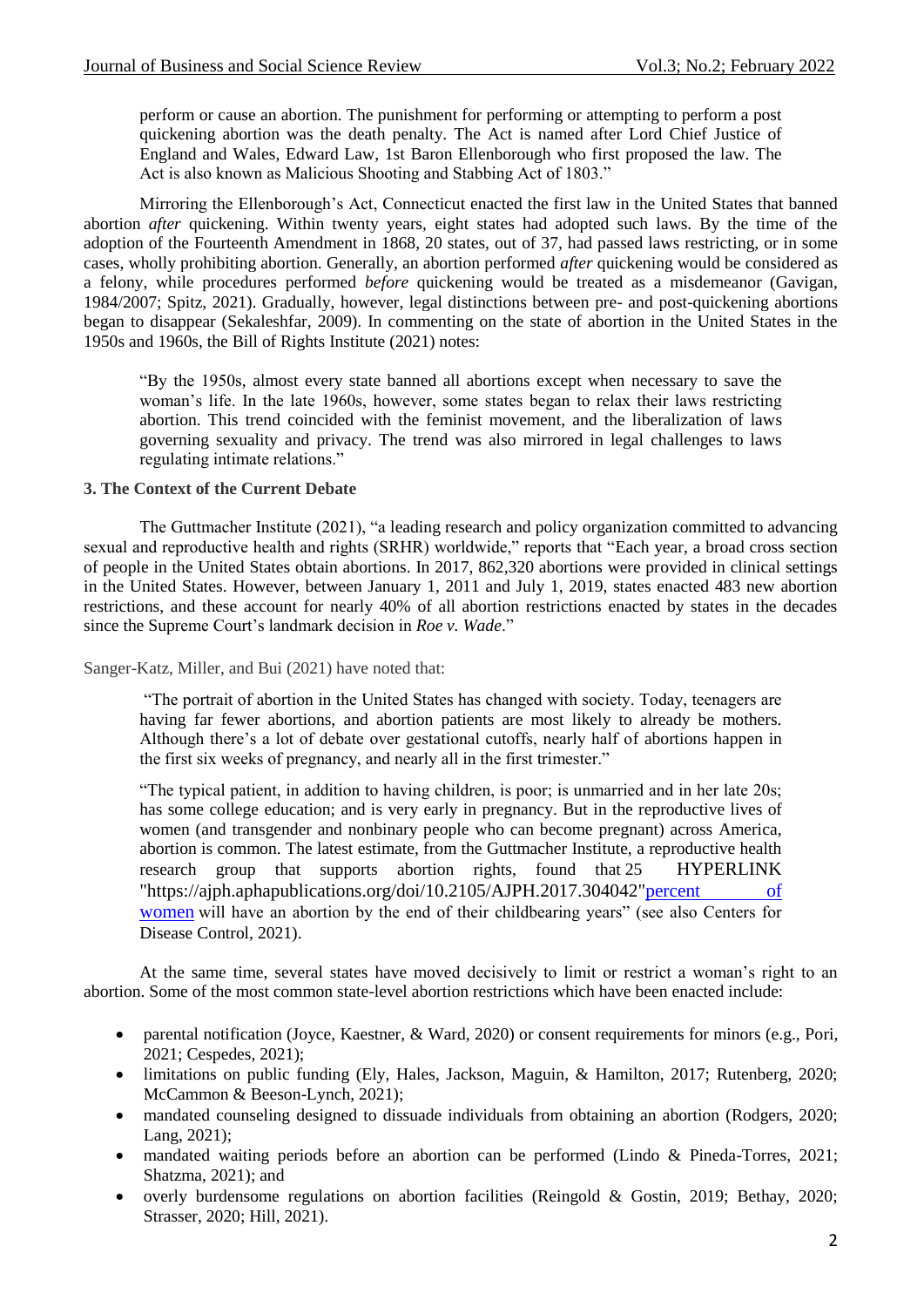perform or cause an abortion. The punishment for performing or attempting to perform a post quickening abortion was the death penalty. The Act is named after Lord Chief Justice of England and Wales, Edward Law, 1st Baron Ellenborough who first proposed the law. The Act is also known as Malicious Shooting and Stabbing Act of 1803."

Mirroring the Ellenborough's Act, Connecticut enacted the first law in the United States that banned abortion *after* quickening. Within twenty years, eight states had adopted such laws. By the time of the adoption of the Fourteenth Amendment in 1868, 20 states, out of 37, had passed laws restricting, or in some cases, wholly prohibiting abortion. Generally, an abortion performed *after* quickening would be considered as a felony, while procedures performed *before* quickening would be treated as a misdemeanor (Gavigan, 1984/2007; Spitz, 2021). Gradually, however, legal distinctions between pre- and post-quickening abortions began to disappear (Sekaleshfar, 2009). In commenting on the state of abortion in the United States in the 1950s and 1960s, the Bill of Rights Institute (2021) notes:

"By the 1950s, almost every state banned all abortions except when necessary to save the woman's life. In the late 1960s, however, some states began to relax their laws restricting abortion. This trend coincided with the feminist movement, and the liberalization of laws governing sexuality and privacy. The trend was also mirrored in legal challenges to laws regulating intimate relations."

### **3. The Context of the Current Debate**

The Guttmacher Institute (2021), "a leading research and policy organization committed to advancing sexual and reproductive health and rights (SRHR) worldwide," reports that "Each year, a broad cross section of people in the United States obtain abortions. In 2017, 862,320 abortions were provided in clinical settings in the United States. However, between January 1, 2011 and July 1, 2019, states enacted 483 new abortion restrictions, and these account for nearly 40% of all abortion restrictions enacted by states in the decades since the Supreme Court's landmark decision in *Roe v. Wade*."

Sanger-Katz, Miller, and Bui (2021) have noted that:

"The portrait of abortion in the United States has changed with society. Today, teenagers are having far fewer abortions, and abortion patients are most likely to already be mothers. Although there's a lot of debate over gestational cutoffs, nearly half of abortions happen in the first six weeks of pregnancy, and nearly all in the first trimester."

"The typical patient, in addition to having children, is poor; is unmarried and in her late 20s; has some college education; and is very early in pregnancy. But in the reproductive lives of women (and transgender and nonbinary people who can become pregnant) across America, abortion is common. The latest estimate, from the Guttmacher Institute, a reproductive health research group that supports abortion rights, found that 25 HYPERLINK "https://ajph.aphapublications.org/doi/10.2105/AJPH.2017.304042"percent of women will have an abortion by the end of their childbearing years" (see also Centers for Disease Control, 2021).

At the same time, several states have moved decisively to limit or restrict a woman's right to an abortion. Some of the most common state-level abortion restrictions which have been enacted include:

- parental notification (Joyce, Kaestner, & Ward, 2020) or consent requirements for minors (e.g., Pori, 2021; Cespedes, 2021);
- limitations on public funding (Ely, Hales, Jackson, Maguin, & Hamilton, 2017; Rutenberg, 2020; McCammon & Beeson-Lynch, 2021);
- mandated counseling designed to dissuade individuals from obtaining an abortion (Rodgers, 2020; Lang, 2021);
- mandated waiting periods before an abortion can be performed (Lindo & Pineda-Torres, 2021; Shatzma, 2021); and
- overly burdensome regulations on abortion facilities (Reingold & Gostin, 2019; Bethay, 2020; Strasser, 2020; Hill, 2021).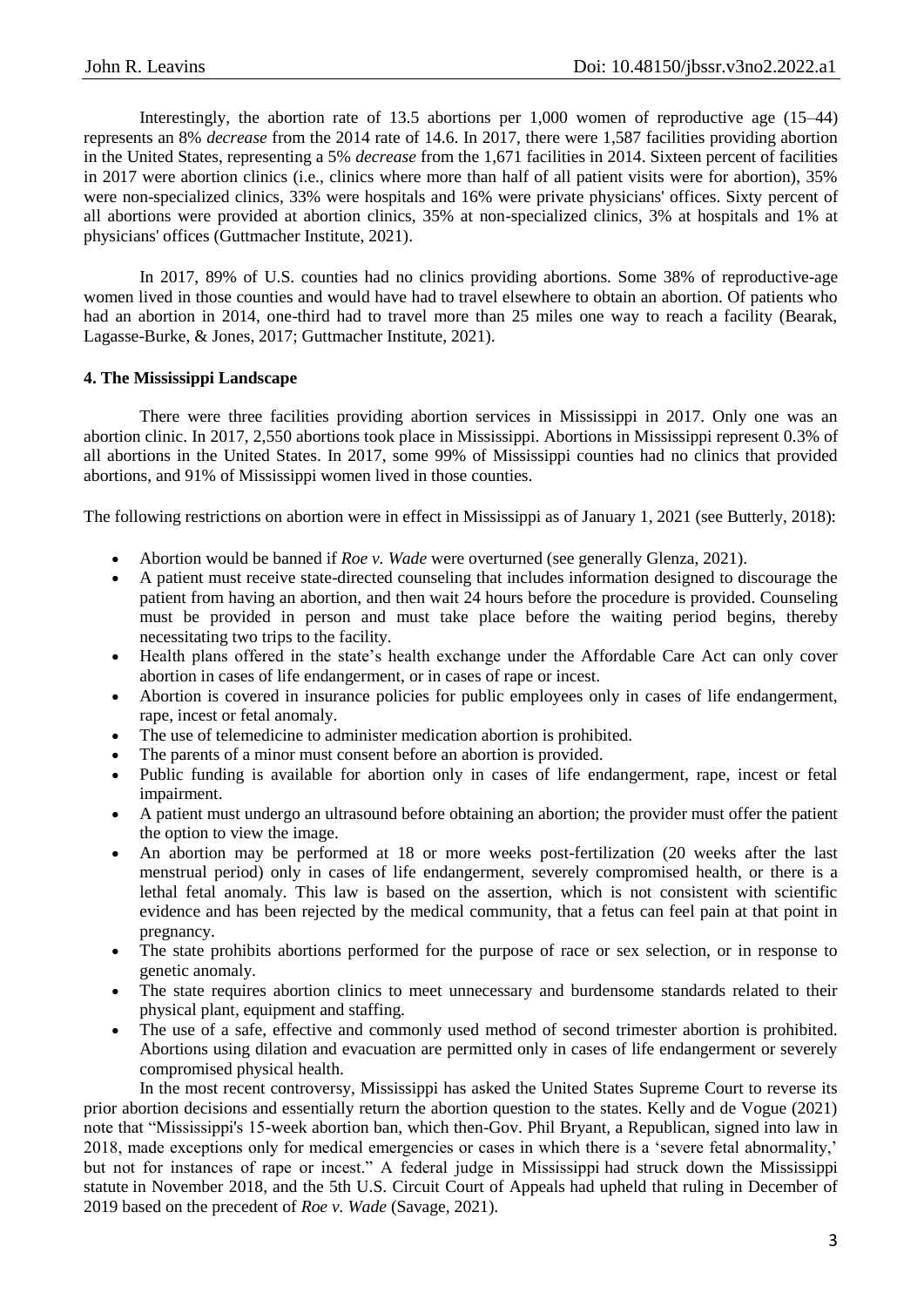Interestingly, the abortion rate of 13.5 abortions per 1,000 women of reproductive age (15–44) represents an 8% *decrease* from the 2014 rate of 14.6. In 2017, there were 1,587 facilities providing abortion in the United States, representing a 5% *decrease* from the 1,671 facilities in 2014. Sixteen percent of facilities in 2017 were abortion clinics (i.e., clinics where more than half of all patient visits were for abortion), 35% were non-specialized clinics, 33% were hospitals and 16% were private physicians' offices. Sixty percent of all abortions were provided at abortion clinics, 35% at non-specialized clinics, 3% at hospitals and 1% at physicians' offices (Guttmacher Institute, 2021).

In 2017, 89% of U.S. counties had no clinics providing abortions. Some 38% of reproductive-age women lived in those counties and would have had to travel elsewhere to obtain an abortion. Of patients who had an abortion in 2014, one-third had to travel more than 25 miles one way to reach a facility (Bearak, Lagasse-Burke, & Jones, 2017; Guttmacher Institute, 2021).

## **4. The Mississippi Landscape**

There were three facilities providing abortion services in Mississippi in 2017. Only one was an abortion clinic. In 2017, 2,550 abortions took place in Mississippi. Abortions in Mississippi represent 0.3% of all abortions in the United States. In 2017, some 99% of Mississippi counties had no clinics that provided abortions, and 91% of Mississippi women lived in those counties.

The following restrictions on abortion were in effect in Mississippi as of January 1, 2021 (see Butterly, 2018):

- Abortion would be banned if *Roe v. Wade* were overturned (see generally Glenza, 2021).
- A patient must receive state-directed counseling that includes information designed to discourage the patient from having an abortion, and then wait 24 hours before the procedure is provided. Counseling must be provided in person and must take place before the waiting period begins, thereby necessitating two trips to the facility.
- Health plans offered in the state's health exchange under the Affordable Care Act can only cover abortion in cases of life endangerment, or in cases of rape or incest.
- Abortion is covered in insurance policies for public employees only in cases of life endangerment, rape, incest or fetal anomaly.
- The use of telemedicine to administer medication abortion is prohibited.
- The parents of a minor must consent before an abortion is provided.
- Public funding is available for abortion only in cases of life endangerment, rape, incest or fetal impairment.
- A patient must undergo an ultrasound before obtaining an abortion; the provider must offer the patient the option to view the image.
- An abortion may be performed at 18 or more weeks post-fertilization (20 weeks after the last menstrual period) only in cases of life endangerment, severely compromised health, or there is a lethal fetal anomaly. This law is based on the assertion, which is not consistent with scientific evidence and has been rejected by the medical community, that a fetus can feel pain at that point in pregnancy.
- The state prohibits abortions performed for the purpose of race or sex selection, or in response to genetic anomaly.
- The state requires abortion clinics to meet unnecessary and burdensome standards related to their physical plant, equipment and staffing.
- The use of a safe, effective and commonly used method of second trimester abortion is prohibited. Abortions using dilation and evacuation are permitted only in cases of life endangerment or severely compromised physical health.

In the most recent controversy, Mississippi has asked the United States Supreme Court to reverse its prior abortion decisions and essentially return the abortion question to the states. Kelly and de Vogue (2021) note that "Mississippi's 15-week abortion ban, which then-Gov. Phil Bryant, a Republican, signed into law in 2018, made exceptions only for medical emergencies or cases in which there is a 'severe fetal abnormality,' but not for instances of rape or incest." A federal judge in Mississippi had struck down the Mississippi statute in November 2018, and the 5th U.S. Circuit Court of Appeals had upheld that ruling in December of 2019 based on the precedent of *Roe v. Wade* (Savage, 2021)*.*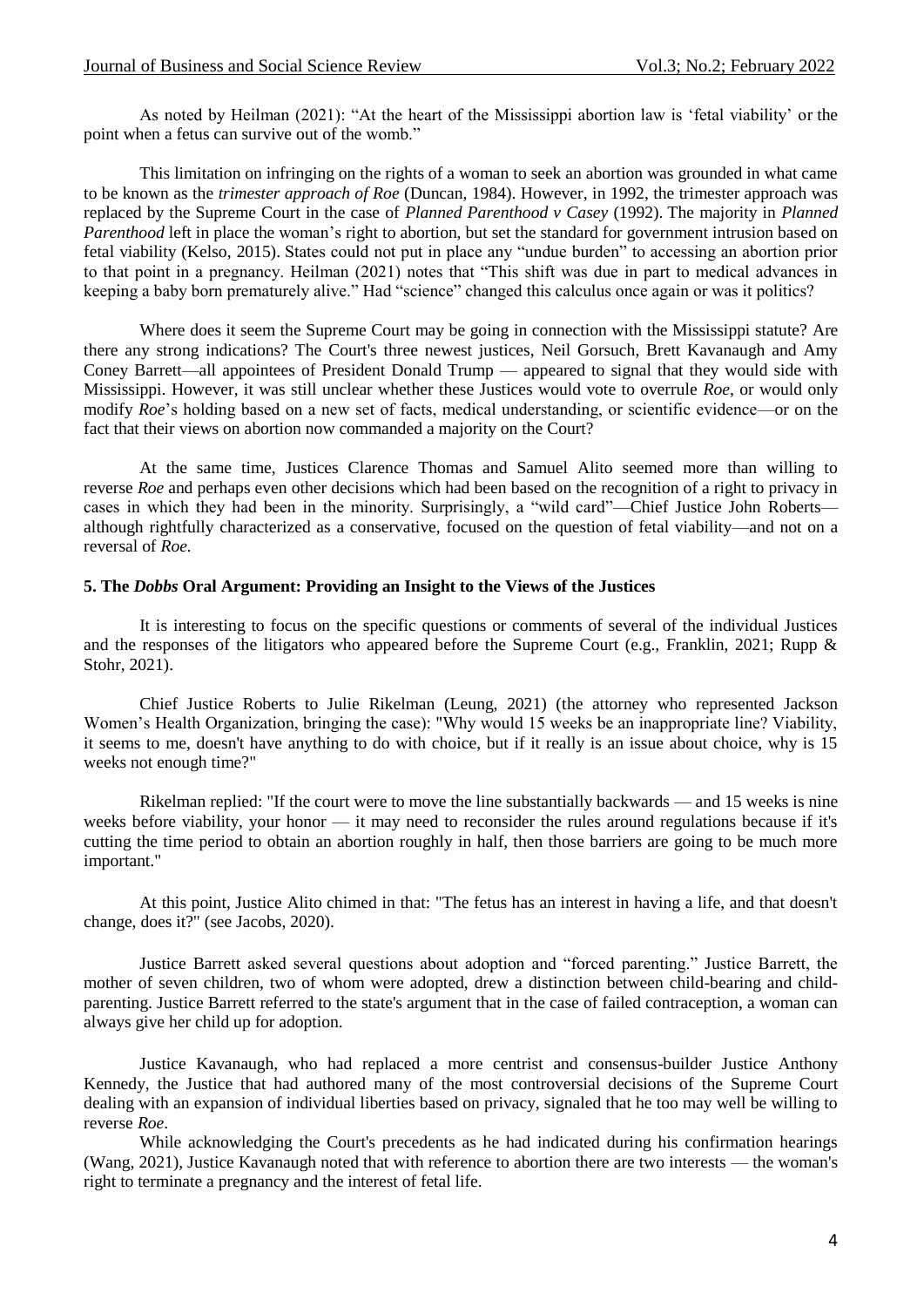As noted by Heilman (2021): "At the heart of the Mississippi abortion law is 'fetal viability' or the point when a fetus can survive out of the womb."

This limitation on infringing on the rights of a woman to seek an abortion was grounded in what came to be known as the *trimester approach of Roe* (Duncan, 1984). However, in 1992, the trimester approach was replaced by the Supreme Court in the case of *Planned Parenthood v Casey* (1992). The majority in *Planned Parenthood* left in place the woman's right to abortion, but set the standard for government intrusion based on fetal viability (Kelso, 2015). States could not put in place any "undue burden" to accessing an abortion prior to that point in a pregnancy. Heilman (2021) notes that "This shift was due in part to medical advances in keeping a baby born prematurely alive." Had "science" changed this calculus once again or was it politics?

Where does it seem the Supreme Court may be going in connection with the Mississippi statute? Are there any strong indications? The Court's three newest justices, Neil Gorsuch, Brett Kavanaugh and Amy Coney Barrett—all appointees of President Donald Trump — appeared to signal that they would side with Mississippi. However, it was still unclear whether these Justices would vote to overrule *Roe*, or would only modify *Roe*'s holding based on a new set of facts, medical understanding, or scientific evidence—or on the fact that their views on abortion now commanded a majority on the Court?

At the same time, Justices Clarence Thomas and Samuel Alito seemed more than willing to reverse *Roe* and perhaps even other decisions which had been based on the recognition of a right to privacy in cases in which they had been in the minority. Surprisingly, a "wild card"—Chief Justice John Roberts although rightfully characterized as a conservative, focused on the question of fetal viability—and not on a reversal of *Roe.*

### **5. The** *Dobbs* **Oral Argument: Providing an Insight to the Views of the Justices**

It is interesting to focus on the specific questions or comments of several of the individual Justices and the responses of the litigators who appeared before the Supreme Court (e.g., Franklin, 2021; Rupp & Stohr, 2021).

Chief Justice Roberts to Julie Rikelman (Leung, 2021) (the attorney who represented Jackson Women's Health Organization, bringing the case): "Why would 15 weeks be an inappropriate line? Viability, it seems to me, doesn't have anything to do with choice, but if it really is an issue about choice, why is 15 weeks not enough time?"

Rikelman replied: "If the court were to move the line substantially backwards — and 15 weeks is nine weeks before viability, your honor — it may need to reconsider the rules around regulations because if it's cutting the time period to obtain an abortion roughly in half, then those barriers are going to be much more important."

At this point, Justice Alito chimed in that: "The fetus has an interest in having a life, and that doesn't change, does it?" (see Jacobs, 2020).

Justice Barrett asked several questions about adoption and "forced parenting." Justice Barrett, the mother of seven children, two of whom were adopted, drew a distinction between child-bearing and childparenting. Justice Barrett referred to the state's argument that in the case of failed contraception, a woman can always give her child up for adoption.

Justice Kavanaugh, who had replaced a more centrist and consensus-builder Justice Anthony Kennedy, the Justice that had authored many of the most controversial decisions of the Supreme Court dealing with an expansion of individual liberties based on privacy, signaled that he too may well be willing to reverse *Roe*.

While acknowledging the Court's precedents as he had indicated during his confirmation hearings (Wang, 2021), Justice Kavanaugh noted that with reference to abortion there are two interests — the woman's right to terminate a pregnancy and the interest of fetal life.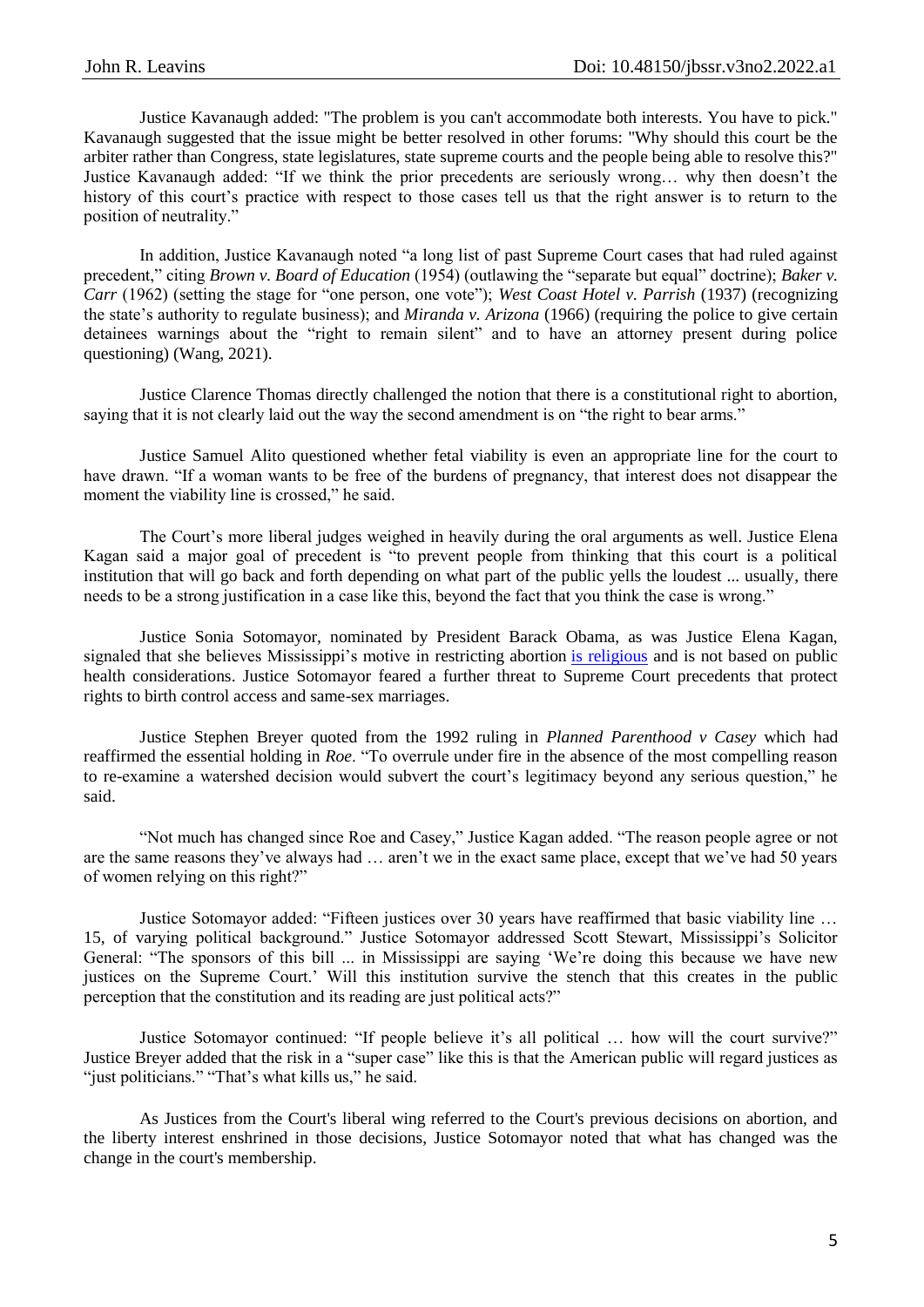Justice Kavanaugh added: "The problem is you can't accommodate both interests. You have to pick." Kavanaugh suggested that the issue might be better resolved in other forums: "Why should this court be the arbiter rather than Congress, state legislatures, state supreme courts and the people being able to resolve this?" Justice Kavanaugh added: "If we think the prior precedents are seriously wrong… why then doesn't the history of this court's practice with respect to those cases tell us that the right answer is to return to the position of neutrality."

In addition, Justice Kavanaugh noted "a long list of past Supreme Court cases that had ruled against precedent," citing *Brown v. Board of Education* (1954) (outlawing the "separate but equal" doctrine); *Baker v. Carr* (1962) (setting the stage for "one person, one vote"); *West Coast Hotel v. Parrish* (1937) (recognizing the state's authority to regulate business); and *Miranda v. Arizona* (1966) (requiring the police to give certain detainees warnings about the "right to remain silent" and to have an attorney present during police questioning) (Wang, 2021).

Justice Clarence Thomas directly challenged the notion that there is a constitutional right to abortion, saying that it is not clearly laid out the way the second amendment is on "the right to bear arms."

Justice Samuel Alito questioned whether fetal viability is even an appropriate line for the court to have drawn. "If a woman wants to be free of the burdens of pregnancy, that interest does not disappear the moment the viability line is crossed," he said.

The Court's more liberal judges weighed in heavily during the oral arguments as well. Justice Elena Kagan said a major goal of precedent is "to prevent people from thinking that this court is a political institution that will go back and forth depending on what part of the public yells the loudest ... usually, there needs to be a strong justification in a case like this, beyond the fact that you think the case is wrong."

Justice Sonia Sotomayor, nominated by President Barack Obama, as was Justice Elena Kagan, signaled that she believes Mississippi's motive in restricting abortion [is religious](https://www.nbcnews.com/politics/supreme-court/sotomayor-suggests-supreme-court-won-t-survive-stench-overturning-roe-n1285166) and is not based on public health considerations. Justice Sotomayor feared a further threat to Supreme Court precedents that protect rights to birth control access and same-sex marriages.

Justice Stephen Breyer quoted from the 1992 ruling in *Planned Parenthood v Casey* which had reaffirmed the essential holding in *Roe*. "To overrule under fire in the absence of the most compelling reason to re-examine a watershed decision would subvert the court's legitimacy beyond any serious question," he said.

"Not much has changed since Roe and Casey," Justice Kagan added. "The reason people agree or not are the same reasons they've always had … aren't we in the exact same place, except that we've had 50 years of women relying on this right?"

Justice Sotomayor added: "Fifteen justices over 30 years have reaffirmed that basic viability line … 15, of varying political background." Justice Sotomayor addressed Scott Stewart, Mississippi's Solicitor General: "The sponsors of this bill ... in Mississippi are saying 'We're doing this because we have new justices on the Supreme Court.' Will this institution survive the stench that this creates in the public perception that the constitution and its reading are just political acts?"

Justice Sotomayor continued: "If people believe it's all political … how will the court survive?" Justice Breyer added that the risk in a "super case" like this is that the American public will regard justices as "just politicians." "That's what kills us," he said.

As Justices from the Court's liberal wing referred to the Court's previous decisions on abortion, and the liberty interest enshrined in those decisions, Justice Sotomayor noted that what has changed was the change in the court's membership.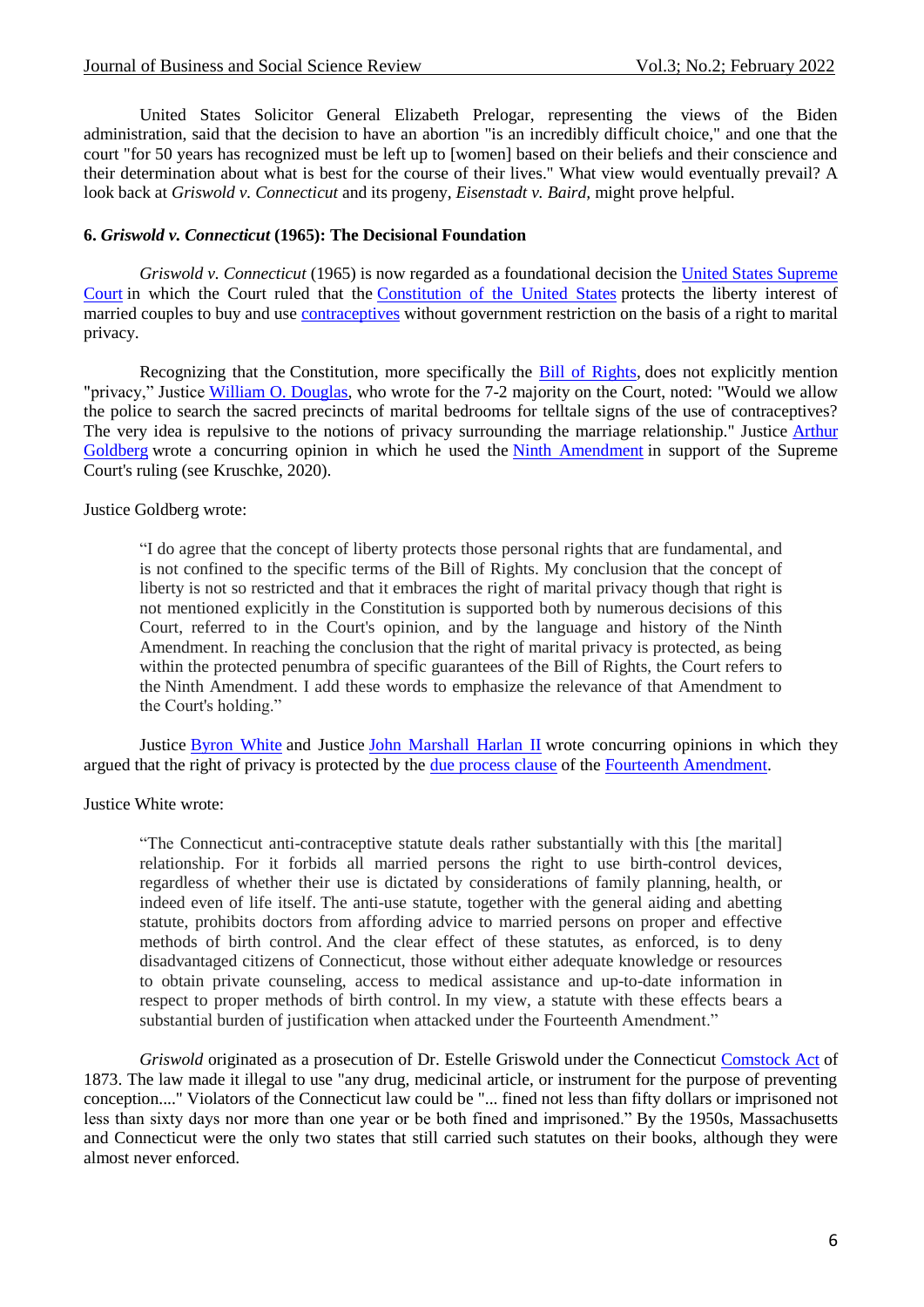United States Solicitor General Elizabeth Prelogar, representing the views of the Biden administration, said that the decision to have an abortion "is an incredibly difficult choice," and one that the court "for 50 years has recognized must be left up to [women] based on their beliefs and their conscience and their determination about what is best for the course of their lives." What view would eventually prevail? A look back at *Griswold v. Connecticut* and its progeny, *Eisenstadt v. Baird,* might prove helpful.

### **6.** *Griswold v. Connecticut* **(1965): The Decisional Foundation**

*Griswold v. Connecticut* (1965) is now regarded as a foundational decision the [United States Supreme](https://en.wikipedia.org/wiki/US_Supreme_Court)  [Court](https://en.wikipedia.org/wiki/US_Supreme_Court) in which the Court ruled that the [Constitution of the United States](https://en.wikipedia.org/wiki/Constitution_of_the_United_States) protects the liberty interest of married couples to buy and use [contraceptives](https://en.wikipedia.org/wiki/Birth_control) without government restriction on the basis of a right to marital privacy.

Recognizing that the Constitution, more specifically the [Bill of Rights,](https://en.wikipedia.org/wiki/United_States_Bill_of_Rights) does not explicitly mention "privacy," Justice [William O. Douglas,](https://en.wikipedia.org/wiki/William_O._Douglas) who wrote for the 7-2 majority on the Court, noted: "Would we allow the police to search the sacred precincts of marital bedrooms for telltale signs of the use of contraceptives? The very idea is repulsive to the notions of privacy surrounding the marriage relationship." Justice [Arthur](https://en.wikipedia.org/wiki/Arthur_Goldberg)  [Goldberg](https://en.wikipedia.org/wiki/Arthur_Goldberg) wrote a concurring opinion in which he used the [Ninth Amendment](https://en.wikipedia.org/wiki/Ninth_Amendment_to_the_United_States_Constitution) in support of the Supreme Court's ruling (see Kruschke, 2020).

#### Justice Goldberg wrote:

"I do agree that the concept of liberty protects those personal rights that are fundamental, and is not confined to the specific terms of the Bill of Rights. My conclusion that the concept of liberty is not so restricted and that it embraces the right of marital privacy though that right is not mentioned explicitly in the Constitution is supported both by numerous decisions of this Court, referred to in the Court's opinion, and by the language and history of the Ninth Amendment. In reaching the conclusion that the right of marital privacy is protected, as being within the protected penumbra of specific guarantees of the Bill of Rights, the Court refers to the Ninth Amendment. I add these words to emphasize the relevance of that Amendment to the Court's holding."

Justice [Byron White](https://en.wikipedia.org/wiki/Byron_White) and Justice [John Marshall Harlan II](https://en.wikipedia.org/wiki/John_Marshall_Harlan_II) wrote concurring opinions in which they argued that the right of privacy is protected by the [due process clause](https://en.wikipedia.org/wiki/Due_process_clause) of the [Fourteenth Amendment.](https://en.wikipedia.org/wiki/Fourteenth_Amendment_to_the_United_States_Constitution)

#### Justice White wrote:

"The Connecticut anti-contraceptive statute deals rather substantially with this [the marital] relationship. For it forbids all married persons the right to use birth-control devices, regardless of whether their use is dictated by considerations of family planning, health, or indeed even of life itself. The anti-use statute, together with the general aiding and abetting statute, prohibits doctors from affording advice to married persons on proper and effective methods of birth control. And the clear effect of these statutes, as enforced, is to deny disadvantaged citizens of Connecticut, those without either adequate knowledge or resources to obtain private counseling, access to medical assistance and up-to-date information in respect to proper methods of birth control. In my view, a statute with these effects bears a substantial burden of justification when attacked under the Fourteenth Amendment."

*Griswold* originated as a prosecution of Dr. Estelle Griswold under the Connecticut [Comstock Act](https://en.wikipedia.org/wiki/Comstock_Act) of 1873. The law made it illegal to use "any drug, medicinal article, or instrument for the purpose of preventing conception...." Violators of the Connecticut law could be "... fined not less than fifty dollars or imprisoned not less than sixty days nor more than one year or be both fined and imprisoned." By the 1950s, Massachusetts and Connecticut were the only two states that still carried such statutes on their books, although they were almost never enforced.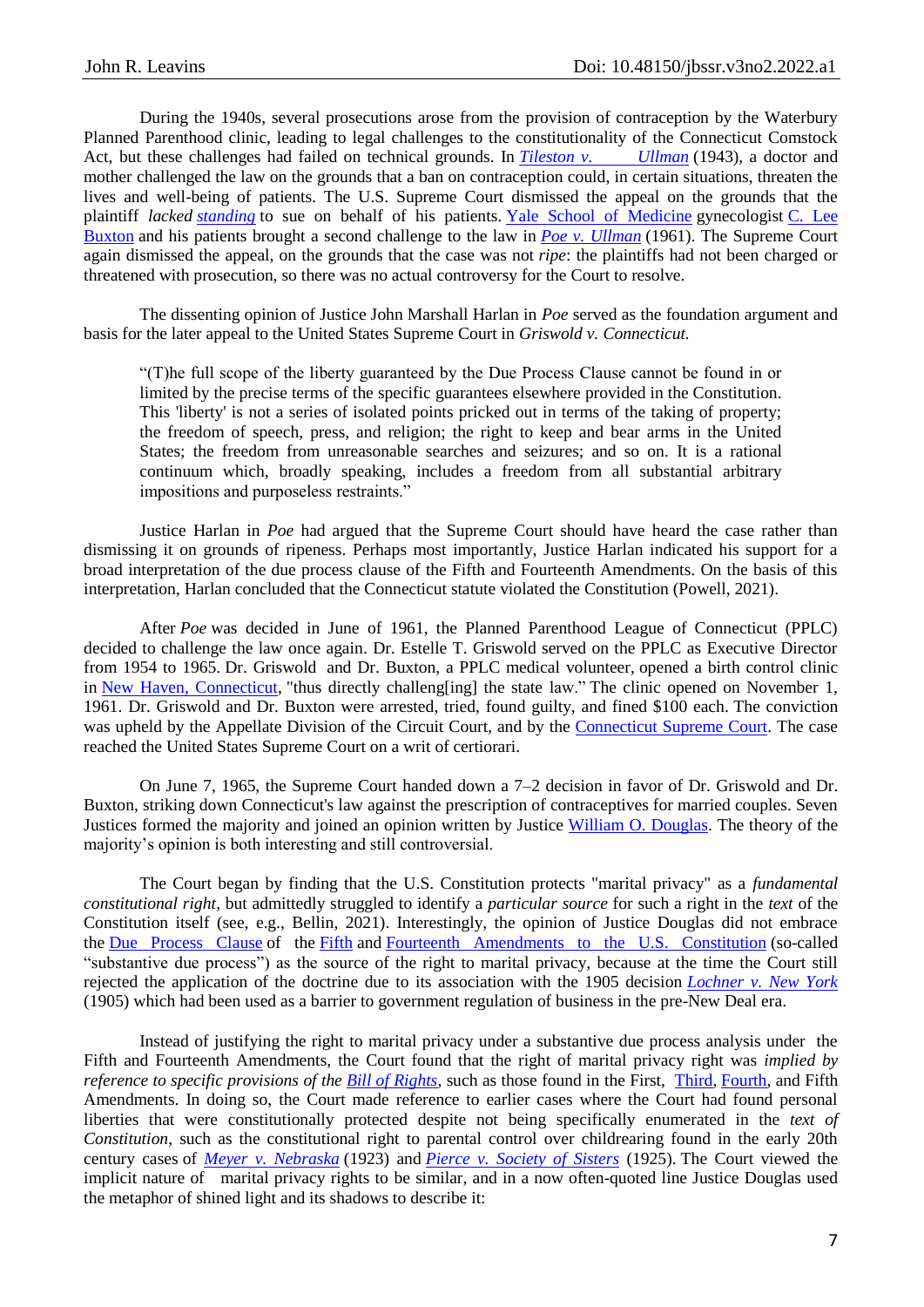During the 1940s, several prosecutions arose from the provision of contraception by the Waterbury Planned Parenthood clinic, leading to legal challenges to the constitutionality of the Connecticut Comstock Act, but these challenges had failed on technical grounds. In *[Tileston v. Ullman](https://en.wikipedia.org/wiki/Tileston_v._Ullman)* (1943), a doctor and mother challenged the law on the grounds that a ban on contraception could, in certain situations, threaten the lives and well-being of patients. The U.S. Supreme Court dismissed the appeal on the grounds that the plaintiff *lacked [standing](https://en.wikipedia.org/wiki/Standing_(law))* to sue on behalf of his patients. [Yale School of Medicine](https://en.wikipedia.org/wiki/Yale_School_of_Medicine) gynecologist [C. Lee](https://en.wikipedia.org/wiki/C._Lee_Buxton) [Buxton](https://en.wikipedia.org/wiki/C._Lee_Buxton) and his patients brought a second challenge to the law in *[Poe v. Ullman](https://en.wikipedia.org/wiki/Poe_v._Ullman)* (1961). The Supreme Court again dismissed the appeal, on the grounds that the case was not *ripe*: the plaintiffs had not been charged or threatened with prosecution, so there was no actual controversy for the Court to resolve.

The dissenting opinion of Justice John Marshall Harlan in *Poe* served as the foundation argument and basis for the later appeal to the United States Supreme Court in *Griswold v. Connecticut.*

"(T)he full scope of the liberty guaranteed by the Due Process Clause cannot be found in or limited by the precise terms of the specific guarantees elsewhere provided in the Constitution. This 'liberty' is not a series of isolated points pricked out in terms of the taking of property; the freedom of speech, press, and religion; the right to keep and bear arms in the United States; the freedom from unreasonable searches and seizures; and so on. It is a rational continuum which, broadly speaking, includes a freedom from all substantial arbitrary impositions and purposeless restraints."

Justice Harlan in *Poe* had argued that the Supreme Court should have heard the case rather than dismissing it on grounds of ripeness. Perhaps most importantly, Justice Harlan indicated his support for a broad interpretation of the due process clause of the Fifth and Fourteenth Amendments. On the basis of this interpretation, Harlan concluded that the Connecticut statute violated the Constitution (Powell, 2021).

After *Poe* was decided in June of 1961, the Planned Parenthood League of Connecticut (PPLC) decided to challenge the law once again. Dr. Estelle T. Griswold served on the PPLC as Executive Director from 1954 to 1965. Dr. Griswold and Dr. Buxton, a PPLC medical volunteer, opened a birth control clinic in [New Haven, Connecticut,](https://en.wikipedia.org/wiki/New_Haven,_Connecticut) "thus directly challeng[ing] the state law." The clinic opened on November 1, 1961. Dr. Griswold and Dr. Buxton were arrested, tried, found guilty, and fined \$100 each. The conviction was upheld by the Appellate Division of the Circuit Court, and by the [Connecticut Supreme Court.](https://en.wikipedia.org/wiki/Connecticut_Supreme_Court) The case reached the United States Supreme Court on a writ of certiorari.

On June 7, 1965, the Supreme Court handed down a 7–2 decision in favor of Dr. Griswold and Dr. Buxton, striking down Connecticut's law against the prescription of contraceptives for married couples. Seven Justices formed the majority and joined an opinion written by Justice [William O. Douglas.](https://en.wikipedia.org/wiki/William_O._Douglas) The theory of the majority's opinion is both interesting and still controversial.

The Court began by finding that the U.S. Constitution protects "marital privacy" as a *fundamental constitutional right*, but admittedly struggled to identify a *particular source* for such a right in the *text* of the Constitution itself (see, e.g., Bellin, 2021). Interestingly, the opinion of Justice Douglas did not embrace the [Due Process Clause](https://en.wikipedia.org/wiki/Due_Process_Clause) of the [Fifth](https://en.wikipedia.org/wiki/Fifth_Amendment_to_the_United_States_Constitution) and [Fourteenth Amendments to the U.S. Constitution](https://en.wikipedia.org/wiki/Fourteenth_Amendment_to_the_United_States_Constitution) (so-called "substantive due process") as the source of the right to marital privacy, because at the time the Court still rejected the application of the doctrine due to its association with the 1905 decision *[Lochner v. New York](https://en.wikipedia.org/wiki/Lochner_v._New_York)* (1905) which had been used as a barrier to government regulation of business in the pre-New Deal era.

Instead of justifying the right to marital privacy under a substantive due process analysis under the Fifth and Fourteenth Amendments, the Court found that the right of marital privacy right was *implied by reference to specific provisions of the [Bill of Rights,](https://en.wikipedia.org/wiki/United_States_Bill_of_Rights)* such as those found in the First, [Third,](https://en.wikipedia.org/wiki/Third_Amendment_to_the_United_States_Constitution) [Fourth,](https://en.wikipedia.org/wiki/Fourth_Amendment_to_the_United_States_Constitution) and Fifth Amendments. In doing so, the Court made reference to earlier cases where the Court had found personal liberties that were constitutionally protected despite not being specifically enumerated in the *text of Constitution*, such as the constitutional right to parental control over childrearing found in the early 20th century cases of *[Meyer v. Nebraska](https://en.wikipedia.org/wiki/Meyer_v._Nebraska)* (1923) and *[Pierce v. Society of Sisters](https://en.wikipedia.org/wiki/Pierce_v._Society_of_Sisters)* (1925). The Court viewed the implicit nature of marital privacy rights to be similar, and in a now often-quoted line Justice Douglas used the metaphor of shined light and its shadows to describe it: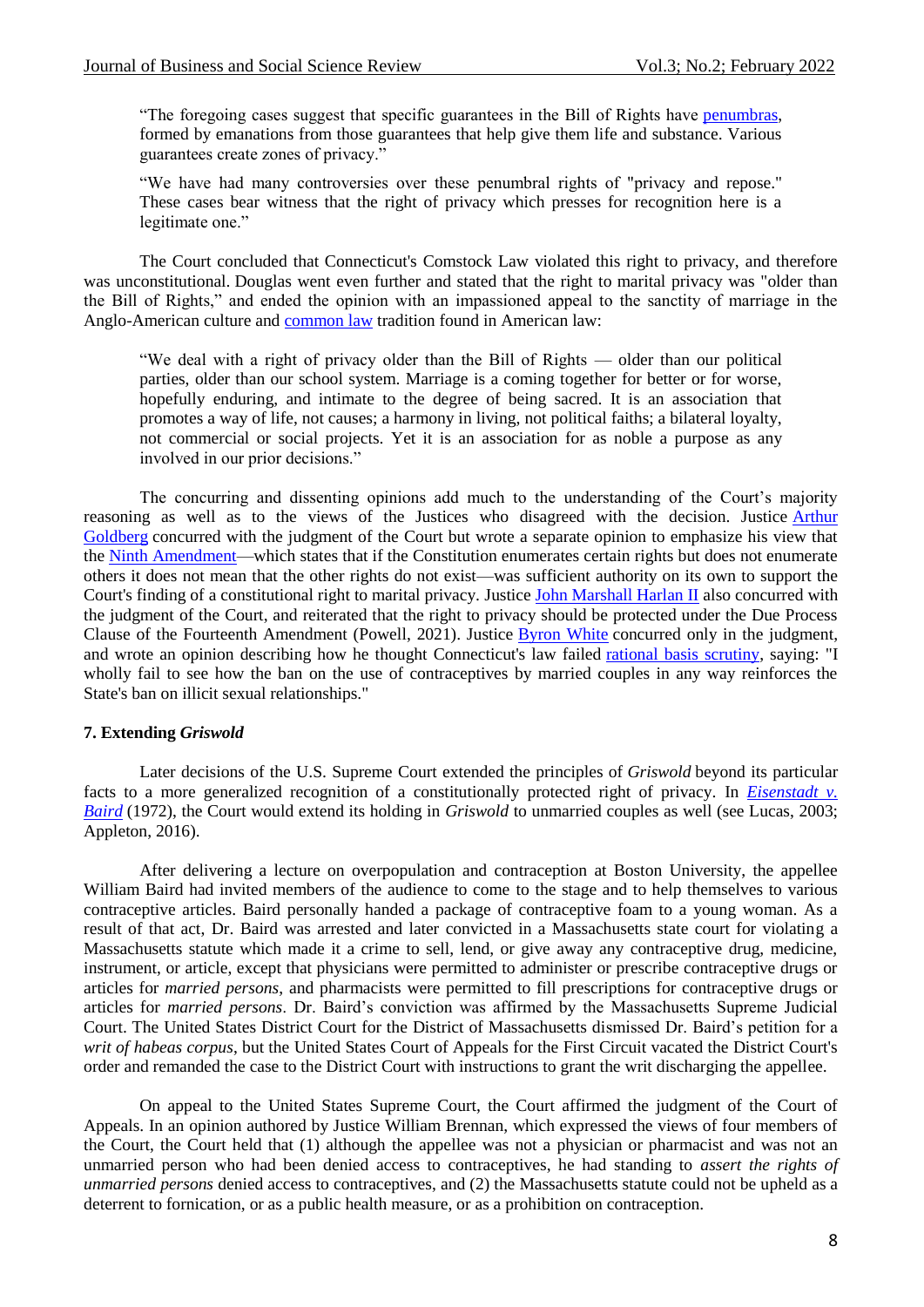"The foregoing cases suggest that specific guarantees in the Bill of Rights have [penumbras,](https://en.wikipedia.org/wiki/Penumbra_(law)) formed by emanations from those guarantees that help give them life and substance. Various guarantees create zones of privacy."

"We have had many controversies over these penumbral rights of "privacy and repose." These cases bear witness that the right of privacy which presses for recognition here is a legitimate one."

The Court concluded that Connecticut's Comstock Law violated this right to privacy, and therefore was unconstitutional. Douglas went even further and stated that the right to marital privacy was "older than the Bill of Rights," and ended the opinion with an impassioned appeal to the sanctity of marriage in the Anglo-American culture and [common law](https://en.wikipedia.org/wiki/Common_law) tradition found in American law:

"We deal with a right of privacy older than the Bill of Rights — older than our political parties, older than our school system. Marriage is a coming together for better or for worse, hopefully enduring, and intimate to the degree of being sacred. It is an association that promotes a way of life, not causes; a harmony in living, not political faiths; a bilateral loyalty, not commercial or social projects. Yet it is an association for as noble a purpose as any involved in our prior decisions."

The concurring and dissenting opinions add much to the understanding of the Court's majority reasoning as well as to the views of the Justices who disagreed with the decision. Justice [Arthur](https://en.wikipedia.org/wiki/Arthur_Goldberg)  [Goldberg](https://en.wikipedia.org/wiki/Arthur_Goldberg) concurred with the judgment of the Court but wrote a separate opinion to emphasize his view that the [Ninth Amendment—](https://en.wikipedia.org/wiki/Ninth_Amendment_to_the_United_States_Constitution)which states that if the Constitution enumerates certain rights but does not enumerate others it does not mean that the other rights do not exist—was sufficient authority on its own to support the Court's finding of a constitutional right to marital privacy. Justice [John Marshall Harlan II](https://en.wikipedia.org/wiki/John_Marshall_Harlan_(1899%E2%80%931971)) also concurred with the judgment of the Court, and reiterated that the right to privacy should be protected under the Due Process Clause of the Fourteenth Amendment (Powell, 2021). Justice [Byron White](https://en.wikipedia.org/wiki/Byron_White) concurred only in the judgment, and wrote an opinion describing how he thought Connecticut's law failed [rational basis scrutiny,](https://en.wikipedia.org/wiki/Rational_basis_scrutiny) saying: "I wholly fail to see how the ban on the use of contraceptives by married couples in any way reinforces the State's ban on illicit sexual relationships."

#### **7. Extending** *Griswold*

Later decisions of the U.S. Supreme Court extended the principles of *Griswold* beyond its particular facts to a more generalized recognition of a constitutionally protected right of privacy. In *[Eisenstadt v.](https://en.wikipedia.org/wiki/Eisenstadt_v._Baird)  [Baird](https://en.wikipedia.org/wiki/Eisenstadt_v._Baird)* (1972), the Court would extend its holding in *Griswold* to unmarried couples as well (see Lucas, 2003; Appleton, 2016).

After delivering a lecture on overpopulation and contraception at Boston University, the appellee William Baird had invited members of the audience to come to the stage and to help themselves to various contraceptive articles. Baird personally handed a package of contraceptive foam to a young woman. As a result of that act, Dr. Baird was arrested and later convicted in a Massachusetts state court for violating a Massachusetts statute which made it a crime to sell, lend, or give away any contraceptive drug, medicine, instrument, or article, except that physicians were permitted to administer or prescribe contraceptive drugs or articles for *married persons*, and pharmacists were permitted to fill prescriptions for contraceptive drugs or articles for *married persons*. Dr. Baird's conviction was affirmed by the Massachusetts Supreme Judicial Court. The United States District Court for the District of Massachusetts dismissed Dr. Baird's petition for a *writ of habeas corpus*, but the United States Court of Appeals for the First Circuit vacated the District Court's order and remanded the case to the District Court with instructions to grant the writ discharging the appellee.

On appeal to the United States Supreme Court, the Court affirmed the judgment of the Court of Appeals. In an opinion authored by Justice William Brennan, which expressed the views of four members of the Court, the Court held that (1) although the appellee was not a physician or pharmacist and was not an unmarried person who had been denied access to contraceptives, he had standing to *assert the rights of unmarried persons* denied access to contraceptives, and (2) the Massachusetts statute could not be upheld as a deterrent to fornication, or as a public health measure, or as a prohibition on contraception.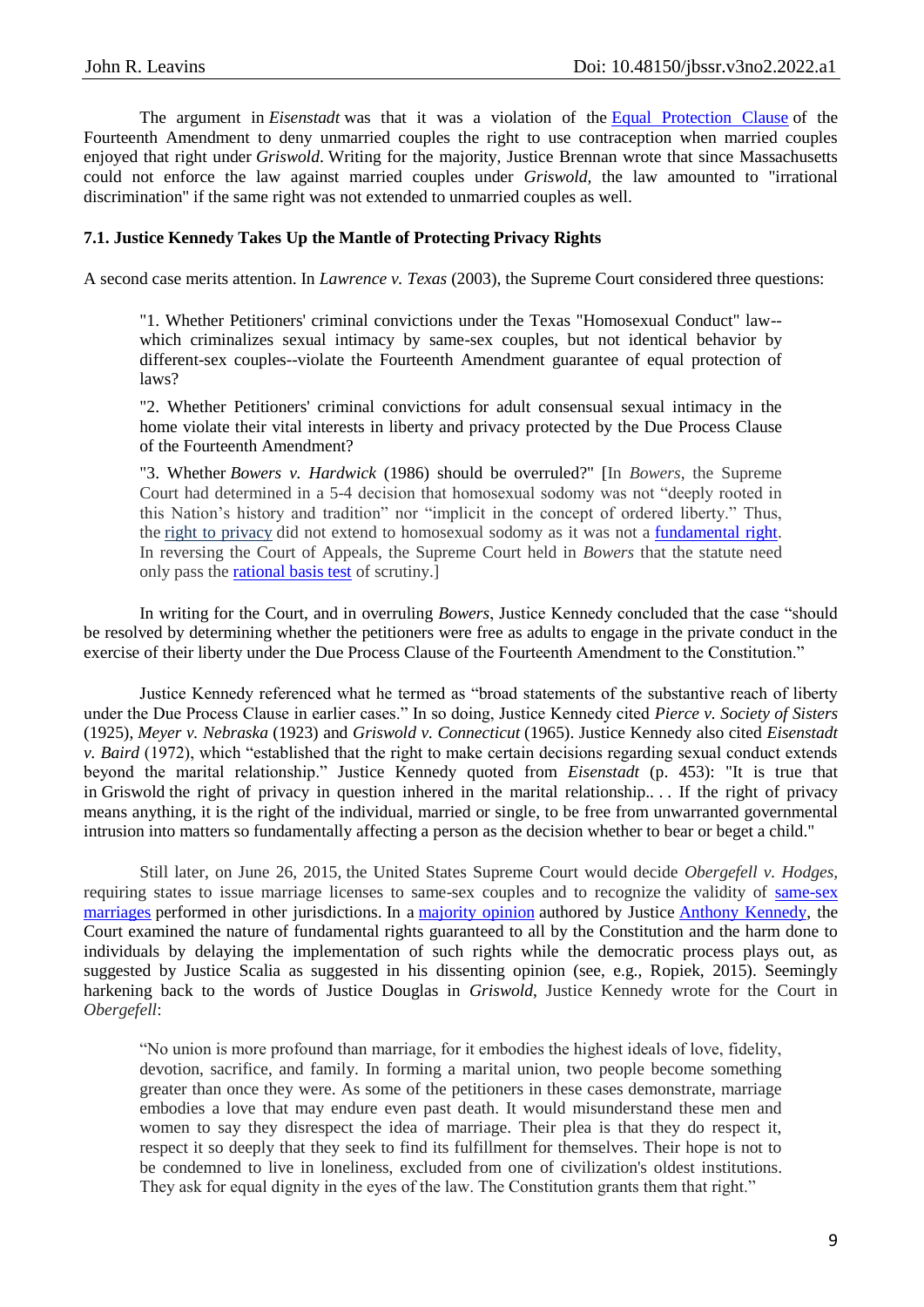The argument in *Eisenstadt* was that it was a violation of the [Equal Protection Clause](https://en.wikipedia.org/wiki/Equal_Protection_Clause) of the Fourteenth Amendment to deny unmarried couples the right to use contraception when married couples enjoyed that right under *Griswold*. Writing for the majority, Justice Brennan wrote that since Massachusetts could not enforce the law against married couples under *Griswold,* the law amounted to "irrational discrimination" if the same right was not extended to unmarried couples as well.

## **7.1. Justice Kennedy Takes Up the Mantle of Protecting Privacy Rights**

A second case merits attention. In *Lawrence v. Texas* (2003), the Supreme Court considered three questions:

"1. Whether Petitioners' criminal convictions under the Texas "Homosexual Conduct" law- which criminalizes sexual intimacy by same-sex couples, but not identical behavior by different-sex couples--violate the Fourteenth Amendment guarantee of equal protection of laws?

"2. Whether Petitioners' criminal convictions for adult consensual sexual intimacy in the home violate their vital interests in liberty and privacy protected by the Due Process Clause of the Fourteenth Amendment?

"3. Whether *Bowers v. Hardwick* (1986) should be overruled?" [In *Bowers*, the Supreme Court had determined in a 5-4 decision that homosexual sodomy was not "deeply rooted in this Nation's history and tradition" nor "implicit in the concept of ordered liberty." Thus, the [right to privacy](https://www.law.cornell.edu/wex/privacy#:~:text=More%20importantly%2C%20however%2C%20the%20Court,%2C%20not%20the%20marital%20couple.%22&text=Their%20right%20to%20liberty%20under,without%20intervention%20of%20the%20government.%22) did not extend to homosexual sodomy as it was not a [fundamental right.](https://www.law.cornell.edu/wex/fundamental_right#:~:text=Overview,been%20found%20under%20Due%20Process.) In reversing the Court of Appeals, the Supreme Court held in *Bowers* that the statute need only pass the [rational basis test](https://www.law.cornell.edu/wex/rational_basis_test) of scrutiny.]

In writing for the Court, and in overruling *Bowers*, Justice Kennedy concluded that the case "should be resolved by determining whether the petitioners were free as adults to engage in the private conduct in the exercise of their liberty under the Due Process Clause of the Fourteenth Amendment to the Constitution."

Justice Kennedy referenced what he termed as "broad statements of the substantive reach of liberty under the Due Process Clause in earlier cases." In so doing, Justice Kennedy cited *Pierce v. Society of Sisters* (1925), *Meyer v. Nebraska* (1923) and *Griswold v. Connecticut* (1965). Justice Kennedy also cited *Eisenstadt v. Baird* (1972), which "established that the right to make certain decisions regarding sexual conduct extends beyond the marital relationship." Justice Kennedy quoted from *Eisenstadt* (p. 453): "It is true that in Griswold the right of privacy in question inhered in the marital relationship.... If the right of privacy means anything, it is the right of the individual*,* married or single, to be free from unwarranted governmental intrusion into matters so fundamentally affecting a person as the decision whether to bear or beget a child."

Still later, on June 26, 2015, the United States Supreme Court would decide *Obergefell v. Hodges,*  requiring states to issue marriage licenses to same-sex couples and to recognize the validity of [same-sex](https://en.wikipedia.org/wiki/Same-sex_marriage)  [marriages](https://en.wikipedia.org/wiki/Same-sex_marriage) performed in other jurisdictions. In a [majority opinion](https://en.wikipedia.org/wiki/Majority_opinion) authored by Justice [Anthony Kennedy,](https://en.wikipedia.org/wiki/Anthony_Kennedy) the Court examined the nature of fundamental rights guaranteed to all by the Constitution and the harm done to individuals by delaying the implementation of such rights while the democratic process plays out, as suggested by Justice Scalia as suggested in his dissenting opinion (see, e.g., Ropiek, 2015). Seemingly harkening back to the words of Justice Douglas in *Griswold*, Justice Kennedy wrote for the Court in *Obergefell*:

"No union is more profound than marriage, for it embodies the highest ideals of love, fidelity, devotion, sacrifice, and family. In forming a marital union, two people become something greater than once they were. As some of the petitioners in these cases demonstrate, marriage embodies a love that may endure even past death. It would misunderstand these men and women to say they disrespect the idea of marriage. Their plea is that they do respect it, respect it so deeply that they seek to find its fulfillment for themselves. Their hope is not to be condemned to live in loneliness, excluded from one of civilization's oldest institutions. They ask for equal dignity in the eyes of the law. The Constitution grants them that right."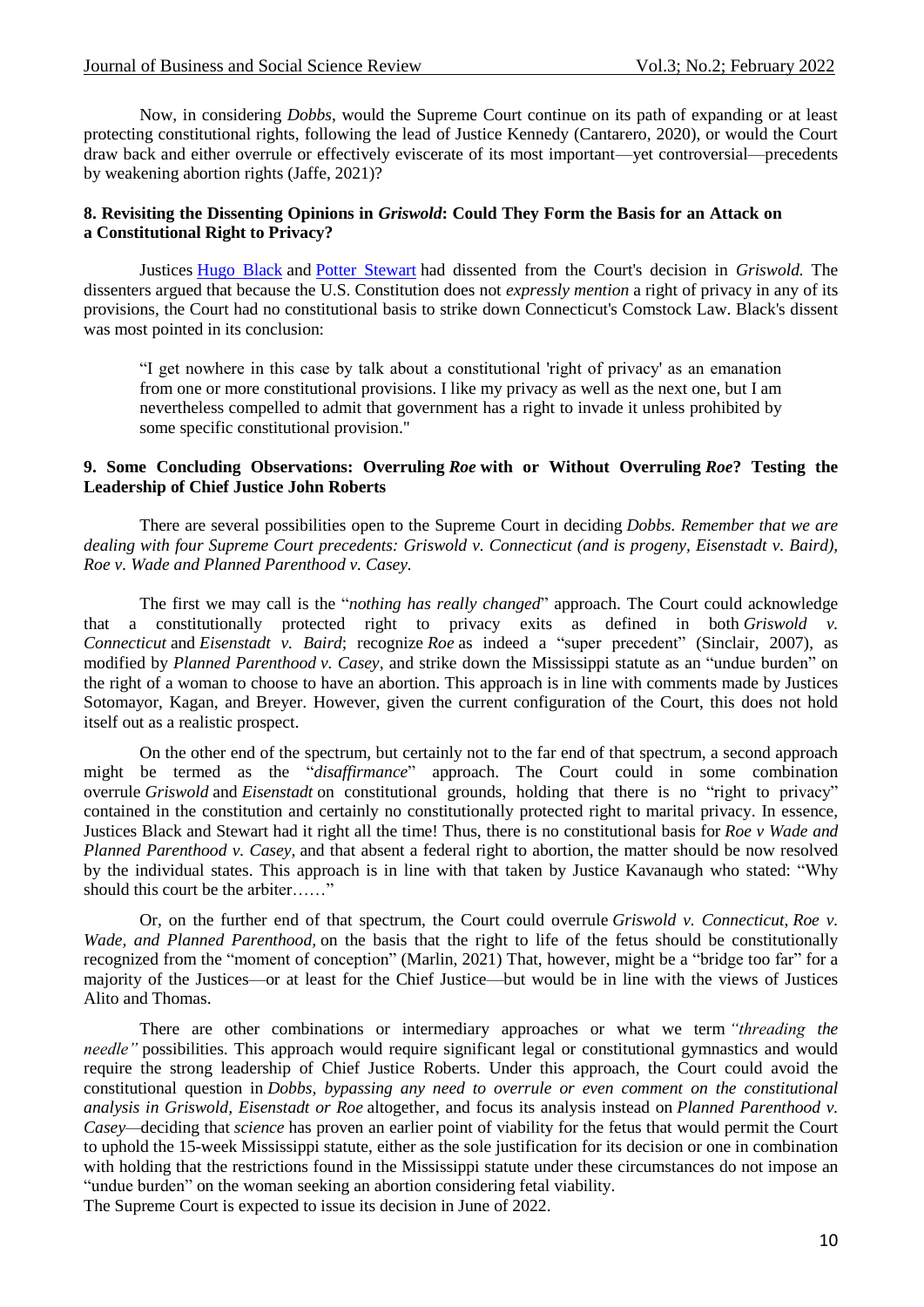Now, in considering *Dobbs*, would the Supreme Court continue on its path of expanding or at least protecting constitutional rights, following the lead of Justice Kennedy (Cantarero, 2020), or would the Court draw back and either overrule or effectively eviscerate of its most important—yet controversial—precedents by weakening abortion rights (Jaffe, 2021)?

## **8. Revisiting the Dissenting Opinions in** *Griswold***: Could They Form the Basis for an Attack on a Constitutional Right to Privacy?**

Justices [Hugo Black](https://en.wikipedia.org/wiki/Hugo_Black) and [Potter Stewart](https://en.wikipedia.org/wiki/Potter_Stewart) had dissented from the Court's decision in *Griswold.* The dissenters argued that because the U.S. Constitution does not *expressly mention* a right of privacy in any of its provisions, the Court had no constitutional basis to strike down Connecticut's Comstock Law. Black's dissent was most pointed in its conclusion:

"I get nowhere in this case by talk about a constitutional 'right of privacy' as an emanation from one or more constitutional provisions. I like my privacy as well as the next one, but I am nevertheless compelled to admit that government has a right to invade it unless prohibited by some specific constitutional provision."

### **9. Some Concluding Observations: Overruling** *Roe* **with or Without Overruling** *Roe***? Testing the Leadership of Chief Justice John Roberts**

There are several possibilities open to the Supreme Court in deciding *Dobbs. Remember that we are dealing with four Supreme Court precedents: Griswold v. Connecticut (and is progeny, Eisenstadt v. Baird), Roe v. Wade and Planned Parenthood v. Casey.*

The first we may call is the "*nothing has really changed*" approach. The Court could acknowledge that a constitutionally protected right to privacy exits as defined in both *Griswold v. Connecticut* and *Eisenstadt v. Baird*; recognize *Roe* as indeed a "super precedent" (Sinclair, 2007), as modified by *Planned Parenthood v. Casey*, and strike down the Mississippi statute as an "undue burden" on the right of a woman to choose to have an abortion. This approach is in line with comments made by Justices Sotomayor, Kagan, and Breyer. However, given the current configuration of the Court, this does not hold itself out as a realistic prospect.

On the other end of the spectrum, but certainly not to the far end of that spectrum, a second approach might be termed as the "*disaffirmance*" approach. The Court could in some combination overrule *Griswold* and *Eisenstadt* on constitutional grounds, holding that there is no "right to privacy" contained in the constitution and certainly no constitutionally protected right to marital privacy. In essence, Justices Black and Stewart had it right all the time! Thus, there is no constitutional basis for *Roe v Wade and Planned Parenthood v. Casey,* and that absent a federal right to abortion, the matter should be now resolved by the individual states. This approach is in line with that taken by Justice Kavanaugh who stated: "Why should this court be the arbiter……"

Or, on the further end of that spectrum, the Court could overrule *Griswold v. Connecticut*, *Roe v. Wade, and Planned Parenthood,* on the basis that the right to life of the fetus should be constitutionally recognized from the "moment of conception" (Marlin, 2021) That, however, might be a "bridge too far" for a majority of the Justices—or at least for the Chief Justice—but would be in line with the views of Justices Alito and Thomas.

There are other combinations or intermediary approaches or what we term *"threading the needle"* possibilities. This approach would require significant legal or constitutional gymnastics and would require the strong leadership of Chief Justice Roberts. Under this approach, the Court could avoid the constitutional question in *Dobbs, bypassing any need to overrule or even comment on the constitutional analysis in Griswold, Eisenstadt or Roe* altogether, and focus its analysis instead on *Planned Parenthood v. Casey—*deciding that *science* has proven an earlier point of viability for the fetus that would permit the Court to uphold the 15-week Mississippi statute, either as the sole justification for its decision or one in combination with holding that the restrictions found in the Mississippi statute under these circumstances do not impose an "undue burden" on the woman seeking an abortion considering fetal viability.

The Supreme Court is expected to issue its decision in June of 2022.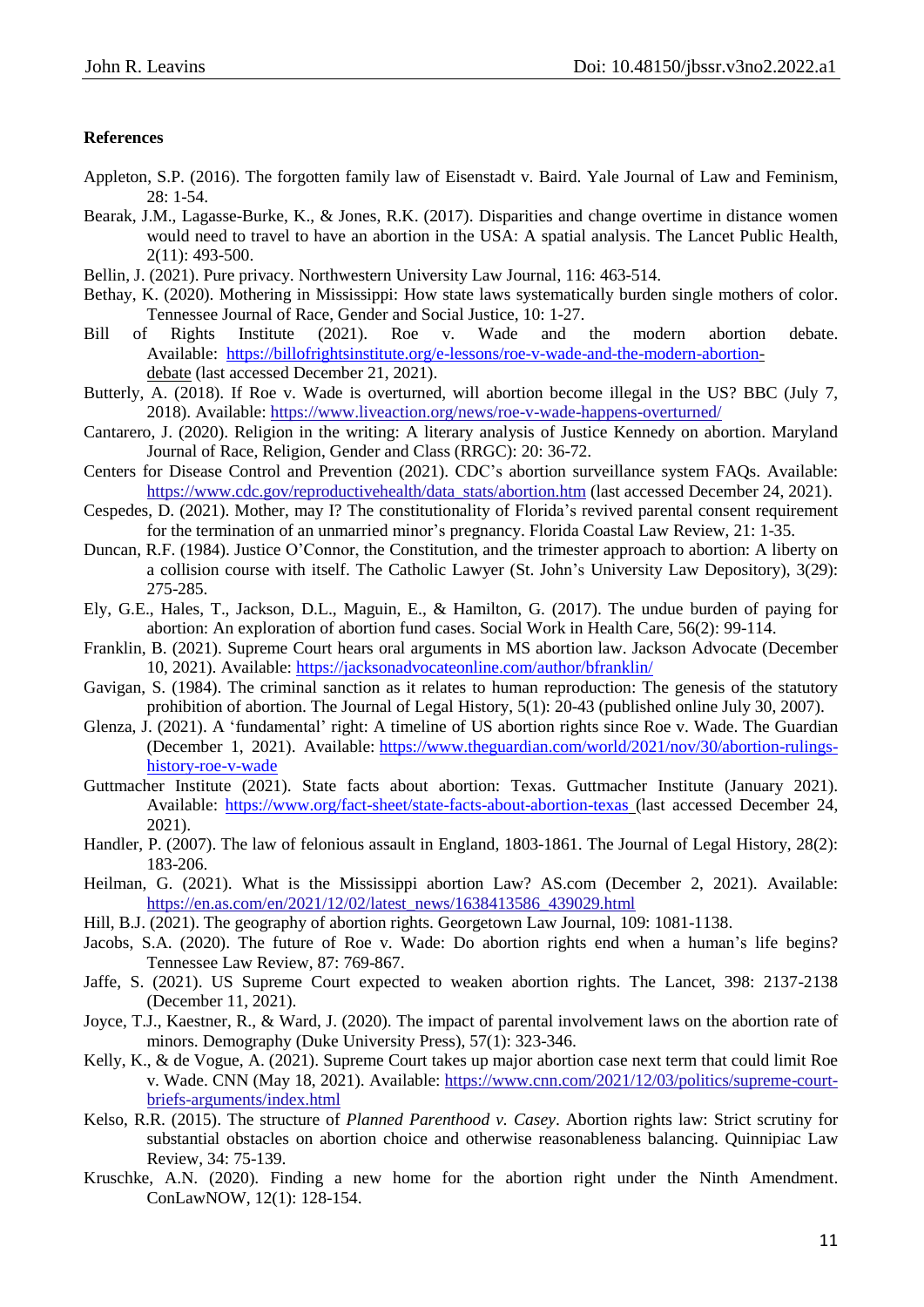## **References**

- Appleton, S.P. (2016). The forgotten family law of Eisenstadt v. Baird. Yale Journal of Law and Feminism, 28: 1-54.
- Bearak, J.M., Lagasse-Burke, K., & Jones, R.K. (2017). Disparities and change overtime in distance women would need to travel to have an abortion in the USA: A spatial analysis. The Lancet Public Health, 2(11): 493-500.
- Bellin, J. (2021). Pure privacy. Northwestern University Law Journal, 116: 463-514.
- Bethay, K. (2020). Mothering in Mississippi: How state laws systematically burden single mothers of color. Tennessee Journal of Race, Gender and Social Justice, 10: 1-27.
- Bill of Rights Institute (2021). Roe v. Wade and the modern abortion debate. Available: [https://billofrightsinstitute.org/e-lessons/roe-v-wade-and-the-modern-abortion](https://nam12.safelinks.protection.outlook.com/?url=https%3A%2F%2Fbillofrightsinstitute.org%2Fe-lessons%2Froe-v-wade-and-the-modern-abortion&data=04%7C01%7CRichard.Hunter%40shu.edu%7Cefff75dfc7f04dcb00fe08d9c63e4e3e%7C51f07c2253b744dfb97ca13261d71075%7C1%7C0%7C637758793163362312%7CUnknown%7CTWFpbGZsb3d8eyJWIjoiMC4wLjAwMDAiLCJQIjoiV2luMzIiLCJBTiI6Ik1haWwiLCJXVCI6Mn0%3D%7C3000&sdata=jsp48dF0kJUkgrSo18F0a5F3XDZby46sTmCTQaex0p8%3D&reserved=0)debate (last accessed December 21, 2021).
- Butterly, A. (2018). If Roe v. Wade is overturned, will abortion become illegal in the US? BBC (July 7, 2018). Available: https://www.liveaction.org/news/roe-v-wade-happens-overturned/
- Cantarero, J. (2020). Religion in the writing: A literary analysis of Justice Kennedy on abortion. Maryland Journal of Race, Religion, Gender and Class (RRGC): 20: 36-72.
- Centers for Disease Control and Prevention (2021). CDC's abortion surveillance system FAQs. Available: [https://www.cdc.gov/reproductivehealth/data\\_stats/abortion.htm](https://www.cdc.gov/reproductivehealth/data_stats/abortion.htm) (last accessed December 24, 2021).
- Cespedes, D. (2021). Mother, may I? The constitutionality of Florida's revived parental consent requirement for the termination of an unmarried minor's pregnancy. Florida Coastal Law Review, 21: 1-35.
- Duncan, R.F. (1984). Justice O'Connor, the Constitution, and the trimester approach to abortion: A liberty on a collision course with itself. The Catholic Lawyer (St. John's University Law Depository), 3(29): 275-285.
- Ely, G.E., Hales, T., Jackson, D.L., Maguin, E., & Hamilton, G. (2017). The undue burden of paying for abortion: An exploration of abortion fund cases. Social Work in Health Care, 56(2): 99-114.
- Franklin, B. (2021). Supreme Court hears oral arguments in MS abortion law. Jackson Advocate (December 10, 2021). Available: <https://jacksonadvocateonline.com/author/bfranklin/>
- Gavigan, S. (1984). The criminal sanction as it relates to human reproduction: The genesis of the statutory prohibition of abortion. The Journal of Legal History, 5(1): 20-43 (published online July 30, 2007).
- Glenza, J. (2021). A 'fundamental' right: A timeline of US abortion rights since Roe v. Wade. The Guardian (December 1, 2021). Available: [https://www.theguardian.com/world/2021/nov/30/abortion-rulings](https://nam12.safelinks.protection.outlook.com/?url=https%3A%2F%2Fwww.theguardian.com%2Fworld%2F2021%2Fnov%2F30%2Fabortion-rulings-history-roe-v-wade&data=04%7C01%7CRichard.Hunter%40shu.edu%7Cefff75dfc7f04dcb00fe08d9c63e4e3e%7C51f07c2253b744dfb97ca13261d71075%7C1%7C0%7C637758793163362312%7CUnknown%7CTWFpbGZsb3d8eyJWIjoiMC4wLjAwMDAiLCJQIjoiV2luMzIiLCJBTiI6Ik1haWwiLCJXVCI6Mn0%3D%7C3000&sdata=znHFbmJhpyeYQVsxWd8BBAhKUQGkXNDwPTYtzHXrz8M%3D&reserved=0)[history-roe-v-wade](https://nam12.safelinks.protection.outlook.com/?url=https%3A%2F%2Fwww.theguardian.com%2Fworld%2F2021%2Fnov%2F30%2Fabortion-rulings-history-roe-v-wade&data=04%7C01%7CRichard.Hunter%40shu.edu%7Cefff75dfc7f04dcb00fe08d9c63e4e3e%7C51f07c2253b744dfb97ca13261d71075%7C1%7C0%7C637758793163362312%7CUnknown%7CTWFpbGZsb3d8eyJWIjoiMC4wLjAwMDAiLCJQIjoiV2luMzIiLCJBTiI6Ik1haWwiLCJXVCI6Mn0%3D%7C3000&sdata=znHFbmJhpyeYQVsxWd8BBAhKUQGkXNDwPTYtzHXrz8M%3D&reserved=0)
- Guttmacher Institute (2021). State facts about abortion: Texas. Guttmacher Institute (January 2021). Available: <https://www.org/fact-sheet/state-facts-about-abortion-texas> (last accessed December 24, 2021).
- Handler, P. (2007). The law of felonious assault in England, 1803-1861. The Journal of Legal History, 28(2): 183-206.
- Heilman, G. (2021). What is the Mississippi abortion Law? AS.com (December 2, 2021). Available: [https://en.as.com/en/2021/12/02/latest\\_news/1638413586\\_439029.html](https://en.as.com/en/2021/12/02/latest_news/1638413586_439029.html)
- Hill, B.J. (2021). The geography of abortion rights. Georgetown Law Journal, 109: 1081-1138.
- Jacobs, S.A. (2020). The future of Roe v. Wade: Do abortion rights end when a human's life begins? Tennessee Law Review, 87: 769-867.
- Jaffe, S. (2021). US Supreme Court expected to weaken abortion rights. The Lancet, 398: 2137-2138 (December 11, 2021).
- Joyce, T.J., Kaestner, R., & Ward, J. (2020). The impact of parental involvement laws on the abortion rate of minors. Demography (Duke University Press), 57(1): 323-346.
- Kelly, K., & de Vogue, A. (2021). Supreme Court takes up major abortion case next term that could limit Roe v. Wade. CNN (May 18, 2021). Available: [https://www.cnn.com/2021/12/03/politics/supreme-court](https://www.cnn.com/2021/12/03/politics/supreme-court-briefs-arguments/index.html)[briefs-arguments/index.html](https://www.cnn.com/2021/12/03/politics/supreme-court-briefs-arguments/index.html)
- Kelso, R.R. (2015). The structure of *Planned Parenthood v. Casey*. Abortion rights law: Strict scrutiny for substantial obstacles on abortion choice and otherwise reasonableness balancing. Quinnipiac Law Review, 34: 75-139.
- Kruschke, A.N. (2020). Finding a new home for the abortion right under the Ninth Amendment. ConLawNOW, 12(1): 128-154.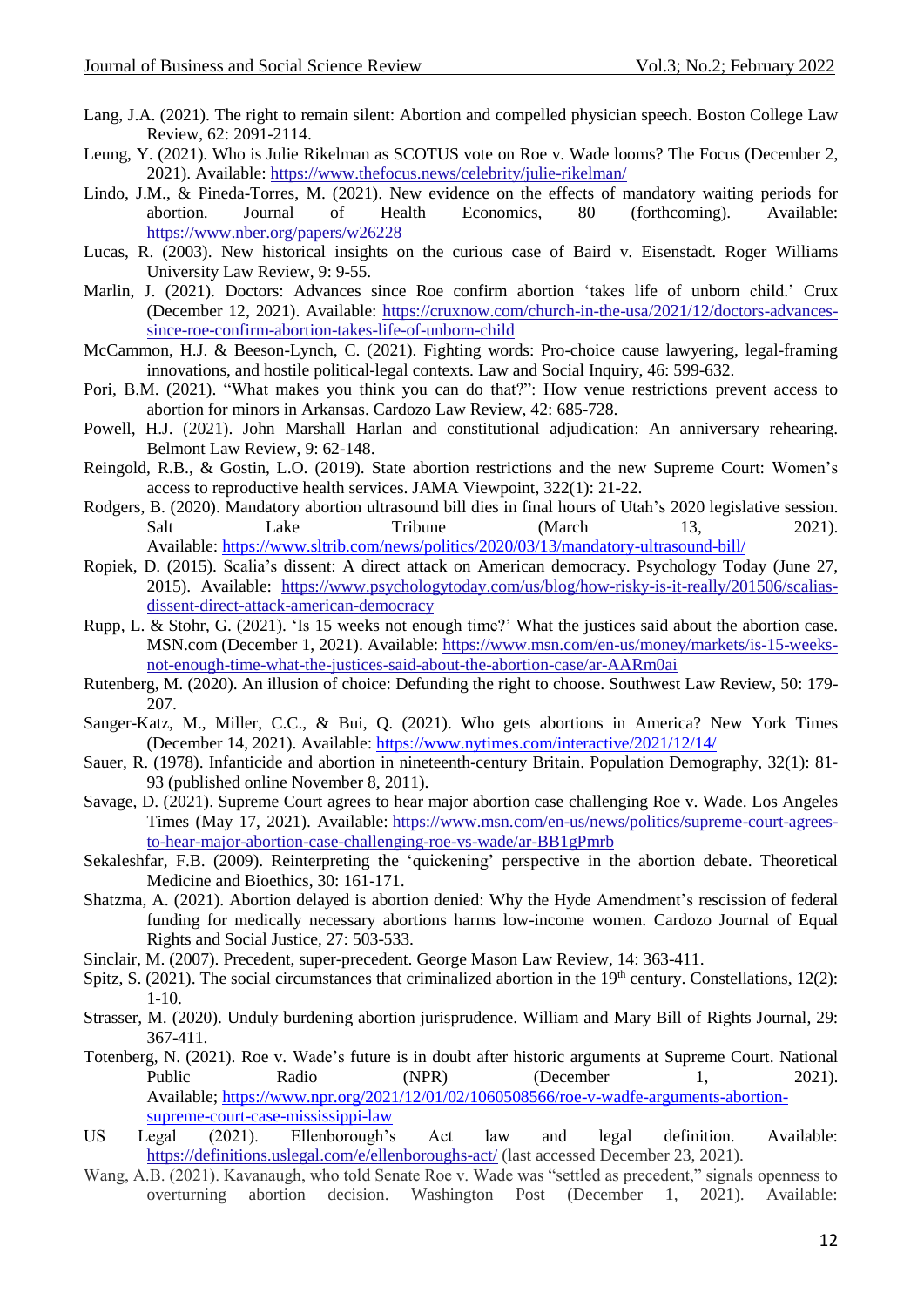- Lang, J.A. (2021). The right to remain silent: Abortion and compelled physician speech. Boston College Law Review, 62: 2091-2114.
- Leung, Y. (2021). Who is Julie Rikelman as SCOTUS vote on Roe v. Wade looms? The Focus (December 2, 2021). Available: <https://www.thefocus.news/celebrity/julie-rikelman/>
- Lindo, J.M., & Pineda-Torres, M. (2021). New evidence on the effects of mandatory waiting periods for abortion. Journal of Health Economics, 80 (forthcoming). Available: <https://www.nber.org/papers/w26228>
- Lucas, R. (2003). New historical insights on the curious case of Baird v. Eisenstadt. Roger Williams University Law Review, 9: 9-55.
- Marlin, J. (2021). Doctors: Advances since Roe confirm abortion 'takes life of unborn child.' Crux (December 12, 2021). Available: [https://cruxnow.com/church-in-the-usa/2021/12/doctors-advances](https://cruxnow.com/church-in-the-usa/2021/12/doctors-advances-since-roe-confirm-abortion-takes-life-of-unborn-child)[since-roe-confirm-abortion-takes-life-of-unborn-child](https://cruxnow.com/church-in-the-usa/2021/12/doctors-advances-since-roe-confirm-abortion-takes-life-of-unborn-child)
- McCammon, H.J. & Beeson-Lynch, C. (2021). Fighting words: Pro-choice cause lawyering, legal-framing innovations, and hostile political-legal contexts. Law and Social Inquiry, 46: 599-632.
- Pori, B.M. (2021). "What makes you think you can do that?": How venue restrictions prevent access to abortion for minors in Arkansas. Cardozo Law Review, 42: 685-728.
- Powell, H.J. (2021). John Marshall Harlan and constitutional adjudication: An anniversary rehearing. Belmont Law Review, 9: 62-148.
- Reingold, R.B., & Gostin, L.O. (2019). State abortion restrictions and the new Supreme Court: Women's access to reproductive health services. JAMA Viewpoint, 322(1): 21-22.
- Rodgers, B. (2020). Mandatory abortion ultrasound bill dies in final hours of Utah's 2020 legislative session. Salt Lake Tribune (March 13, 2021). Available: [https://www.sltrib.com/news/politics/2020/03/13/mandatory-ultrasound-bill/](https://nam12.safelinks.protection.outlook.com/?url=https%3A%2F%2Fwww.sltrib.com%2Fnews%2Fpolitics%2F2020%2F03%2F13%2Fmandatory-ultrasound-bill%2F&data=04%7C01%7CRichard.Hunter%40shu.edu%7Cefff75dfc7f04dcb00fe08d9c63e4e3e%7C51f07c2253b744dfb97ca13261d71075%7C1%7C0%7C637758793163362312%7CUnknown%7CTWFpbGZsb3d8eyJWIjoiMC4wLjAwMDAiLCJQIjoiV2luMzIiLCJBTiI6Ik1haWwiLCJXVCI6Mn0%3D%7C3000&sdata=goWj2Txm4V%2BeZhMl5hXAgvhpv1ZVwqsIksaZRN50LkE%3D&reserved=0)
- Ropiek, D. (2015). Scalia's dissent: A direct attack on American democracy. Psychology Today (June 27, 2015). Available: [https://www.psychologytoday.com/us/blog/how-risky-is-it-really/201506/scalias](https://www.psychologytoday.com/us/blog/how-risky-is-it-really/201506/scalias-dissent-direct-attack-american-democracy)[dissent-direct-attack-american-democracy](https://www.psychologytoday.com/us/blog/how-risky-is-it-really/201506/scalias-dissent-direct-attack-american-democracy)
- Rupp, L. & Stohr, G. (2021). 'Is 15 weeks not enough time?' What the justices said about the abortion case. MSN.com (December 1, 2021). Available: [https://www.msn.com/en-us/money/markets/is-15-weeks](https://www.msn.com/en-us/money/markets/is-15-weeks-not-enough-time-what-the-justices-said-about-the-abortion-case/ar-AARm0ai)[not-enough-time-what-the-justices-said-about-the-abortion-case/ar-AARm0ai](https://www.msn.com/en-us/money/markets/is-15-weeks-not-enough-time-what-the-justices-said-about-the-abortion-case/ar-AARm0ai)
- Rutenberg, M. (2020). An illusion of choice: Defunding the right to choose. Southwest Law Review, 50: 179- 207.
- Sanger-Katz, M., Miller, C.C., & Bui, Q. (2021). Who gets abortions in America? New York Times (December 14, 2021). Available: <https://www.nytimes.com/interactive/2021/12/14/>
- Sauer, R. (1978). Infanticide and abortion in nineteenth-century Britain. Population Demography, 32(1): 81- 93 (published online November 8, 2011).
- Savage, D. (2021). Supreme Court agrees to hear major abortion case challenging Roe v. Wade. Los Angeles Times (May 17, 2021). Available: [https://www.msn.com/en-us/news/politics/supreme-court-agrees](https://www.msn.com/en-us/news/politics/supreme-court-agrees-to-hear-major-abortion-case-challenging-roe-vs-wade/ar-BB1gPmrb)[to-hear-major-abortion-case-challenging-roe-vs-wade/ar-BB1gPmrb](https://www.msn.com/en-us/news/politics/supreme-court-agrees-to-hear-major-abortion-case-challenging-roe-vs-wade/ar-BB1gPmrb)
- Sekaleshfar, F.B. (2009). Reinterpreting the 'quickening' perspective in the abortion debate. Theoretical Medicine and Bioethics, 30: 161-171.
- Shatzma, A. (2021). Abortion delayed is abortion denied: Why the Hyde Amendment's rescission of federal funding for medically necessary abortions harms low-income women. Cardozo Journal of Equal Rights and Social Justice, 27: 503-533.
- Sinclair, M. (2007). Precedent, super-precedent. George Mason Law Review, 14: 363-411.
- Spitz, S. (2021). The social circumstances that criminalized abortion in the  $19<sup>th</sup>$  century. Constellations,  $12(2)$ : 1-10.
- Strasser, M. (2020). Unduly burdening abortion jurisprudence. William and Mary Bill of Rights Journal, 29: 367-411.
- Totenberg, N. (2021). Roe v. Wade's future is in doubt after historic arguments at Supreme Court. National Public Radio (NPR) (December 1, 2021). Available; [https://www.npr.org/2021/12/01/02/1060508566/roe-v-wadfe-arguments-abortion](https://nam12.safelinks.protection.outlook.com/?url=https%3A%2F%2Fwww.npr.org%2F2021%2F12%2F01%2F02%2F1060508566%2Froe-v-wadfe-arguments-abortion-supreme-court-case-mississippi-law&data=04%7C01%7CRichard.Hunter%40shu.edu%7Cefff75dfc7f04dcb00fe08d9c63e4e3e%7C51f07c2253b744dfb97ca13261d71075%7C1%7C0%7C637758793163362312%7CUnknown%7CTWFpbGZsb3d8eyJWIjoiMC4wLjAwMDAiLCJQIjoiV2luMzIiLCJBTiI6Ik1haWwiLCJXVCI6Mn0%3D%7C3000&sdata=FdIapEA%2BGttg9gGxX3yKh5m0l1xE%2Bp4CH%2BtqoXoxHiY%3D&reserved=0)[supreme-court-case-mississippi-law](https://nam12.safelinks.protection.outlook.com/?url=https%3A%2F%2Fwww.npr.org%2F2021%2F12%2F01%2F02%2F1060508566%2Froe-v-wadfe-arguments-abortion-supreme-court-case-mississippi-law&data=04%7C01%7CRichard.Hunter%40shu.edu%7Cefff75dfc7f04dcb00fe08d9c63e4e3e%7C51f07c2253b744dfb97ca13261d71075%7C1%7C0%7C637758793163362312%7CUnknown%7CTWFpbGZsb3d8eyJWIjoiMC4wLjAwMDAiLCJQIjoiV2luMzIiLCJBTiI6Ik1haWwiLCJXVCI6Mn0%3D%7C3000&sdata=FdIapEA%2BGttg9gGxX3yKh5m0l1xE%2Bp4CH%2BtqoXoxHiY%3D&reserved=0)
- US Legal (2021). Ellenborough's Act law and legal definition. Available: <https://definitions.uslegal.com/e/ellenboroughs-act/> (last accessed December 23, 2021).
- Wang, A.B. (2021). Kavanaugh, who told Senate Roe v. Wade was "settled as precedent," signals openness to overturning abortion decision. Washington Post (December 1, 2021). Available: